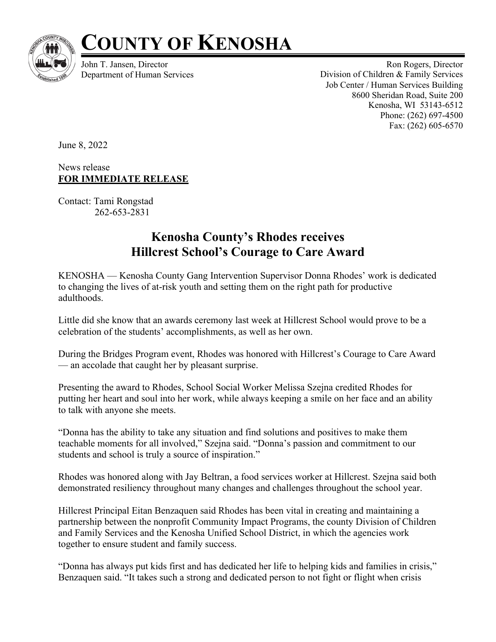

## **COUNTY OF KENOSHA**

John T. Jansen, Director Department of Human Services

Ron Rogers, Director Division of Children & Family Services Job Center / Human Services Building 8600 Sheridan Road, Suite 200 Kenosha, WI 53143-6512 Phone: (262) 697-4500 Fax: (262) 605-6570

June 8, 2022

News release **FOR IMMEDIATE RELEASE**

Contact: Tami Rongstad 262-653-2831

## **Kenosha County's Rhodes receives Hillcrest School's Courage to Care Award**

KENOSHA — Kenosha County Gang Intervention Supervisor Donna Rhodes' work is dedicated to changing the lives of at-risk youth and setting them on the right path for productive adulthoods.

Little did she know that an awards ceremony last week at Hillcrest School would prove to be a celebration of the students' accomplishments, as well as her own.

During the Bridges Program event, Rhodes was honored with Hillcrest's Courage to Care Award — an accolade that caught her by pleasant surprise.

Presenting the award to Rhodes, School Social Worker Melissa Szejna credited Rhodes for putting her heart and soul into her work, while always keeping a smile on her face and an ability to talk with anyone she meets.

"Donna has the ability to take any situation and find solutions and positives to make them teachable moments for all involved," Szejna said. "Donna's passion and commitment to our students and school is truly a source of inspiration."

Rhodes was honored along with Jay Beltran, a food services worker at Hillcrest. Szejna said both demonstrated resiliency throughout many changes and challenges throughout the school year.

Hillcrest Principal Eitan Benzaquen said Rhodes has been vital in creating and maintaining a partnership between the nonprofit Community Impact Programs, the county Division of Children and Family Services and the Kenosha Unified School District, in which the agencies work together to ensure student and family success.

"Donna has always put kids first and has dedicated her life to helping kids and families in crisis," Benzaquen said. "It takes such a strong and dedicated person to not fight or flight when crisis